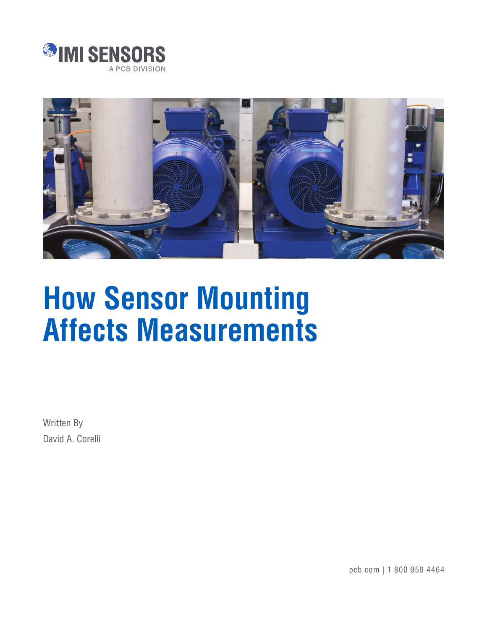



# **How Sensor Mounting Affects Measurements**

Written By David A. Corelli

pcb.com | 1 800 959 4464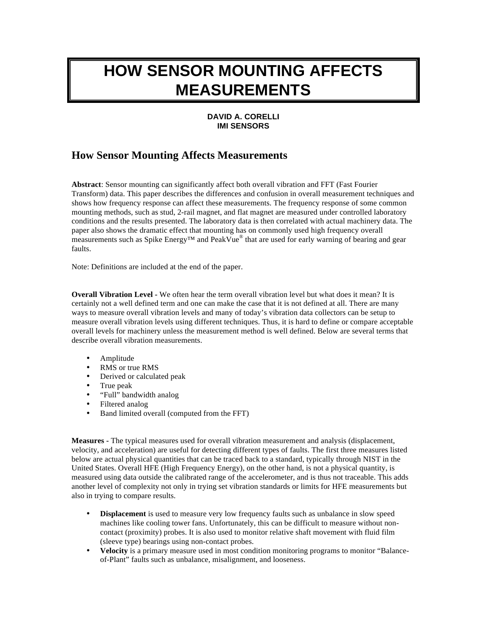# **HOW SENSOR MOUNTING AFFECTS MEASUREMENTS**

## **DAVID A. CORELLI IMI SENSORS**

# **How Sensor Mounting Affects Measurements**

**Abstract**: Sensor mounting can significantly affect both overall vibration and FFT (Fast Fourier Transform) data. This paper describes the differences and confusion in overall measurement techniques and shows how frequency response can affect these measurements. The frequency response of some common mounting methods, such as stud, 2-rail magnet, and flat magnet are measured under controlled laboratory conditions and the results presented. The laboratory data is then correlated with actual machinery data. The paper also shows the dramatic effect that mounting has on commonly used high frequency overall measurements such as Spike Energy<sup>TM</sup> and PeakVue<sup>®</sup> that are used for early warning of bearing and gear faults.

Note: Definitions are included at the end of the paper.

**Overall Vibration Level -** We often hear the term overall vibration level but what does it mean? It is certainly not a well defined term and one can make the case that it is not defined at all. There are many ways to measure overall vibration levels and many of today's vibration data collectors can be setup to measure overall vibration levels using different techniques. Thus, it is hard to define or compare acceptable overall levels for machinery unless the measurement method is well defined. Below are several terms that describe overall vibration measurements.

- Amplitude
- RMS or true RMS
- Derived or calculated peak
- True peak
- "Full" bandwidth analog
- Filtered analog
- Band limited overall (computed from the FFT)

**Measures -** The typical measures used for overall vibration measurement and analysis (displacement, velocity, and acceleration) are useful for detecting different types of faults. The first three measures listed below are actual physical quantities that can be traced back to a standard, typically through NIST in the United States. Overall HFE (High Frequency Energy), on the other hand, is not a physical quantity, is measured using data outside the calibrated range of the accelerometer, and is thus not traceable. This adds another level of complexity not only in trying set vibration standards or limits for HFE measurements but also in trying to compare results.

- **Displacement** is used to measure very low frequency faults such as unbalance in slow speed machines like cooling tower fans. Unfortunately, this can be difficult to measure without noncontact (proximity) probes. It is also used to monitor relative shaft movement with fluid film (sleeve type) bearings using non-contact probes.
- **Velocity** is a primary measure used in most condition monitoring programs to monitor "Balanceof-Plant" faults such as unbalance, misalignment, and looseness.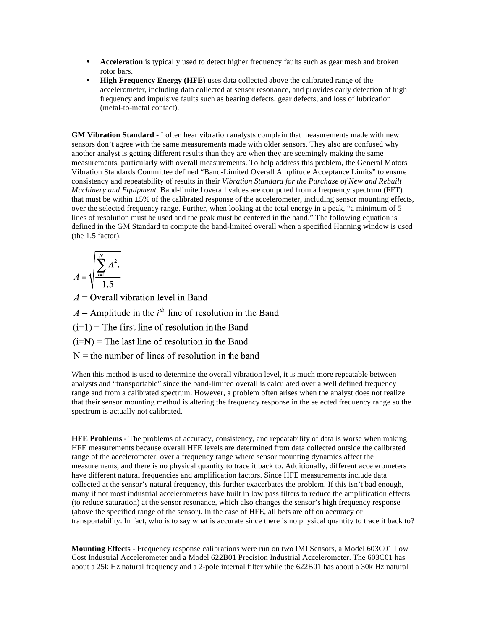- **Acceleration** is typically used to detect higher frequency faults such as gear mesh and broken rotor bars.
- **High Frequency Energy (HFE)** uses data collected above the calibrated range of the accelerometer, including data collected at sensor resonance, and provides early detection of high frequency and impulsive faults such as bearing defects, gear defects, and loss of lubrication (metal-to-metal contact).

**GM Vibration Standard -** I often hear vibration analysts complain that measurements made with new sensors don't agree with the same measurements made with older sensors. They also are confused why another analyst is getting different results than they are when they are seemingly making the same measurements, particularly with overall measurements. To help address this problem, the General Motors Vibration Standards Committee defined "Band-Limited Overall Amplitude Acceptance Limits" to ensure consistency and repeatability of results in their *Vibration Standard for the Purchase of New and Rebuilt Machinery and Equipment*. Band-limited overall values are computed from a frequency spectrum (FFT) that must be within ±5% of the calibrated response of the accelerometer, including sensor mounting effects, over the selected frequency range. Further, when looking at the total energy in a peak, "a minimum of 5 lines of resolution must be used and the peak must be centered in the band." The following equation is defined in the GM Standard to compute the band-limited overall when a specified Hanning window is used (the 1.5 factor).

$$
A = \sqrt{\sum_{i=1}^{N} A_{i}^{2}}
$$

 $A =$ Overall vibration level in Band

 $A =$ Amplitude in the  $i<sup>th</sup>$  line of resolution in the Band

 $(i=1)$  = The first line of resolution in the Band

 $(i=N)$  = The last line of resolution in the Band

 $N =$  the number of lines of resolution in the band

When this method is used to determine the overall vibration level, it is much more repeatable between analysts and "transportable" since the band-limited overall is calculated over a well defined frequency range and from a calibrated spectrum. However, a problem often arises when the analyst does not realize that their sensor mounting method is altering the frequency response in the selected frequency range so the spectrum is actually not calibrated.

**HFE Problems -** The problems of accuracy, consistency, and repeatability of data is worse when making HFE measurements because overall HFE levels are determined from data collected outside the calibrated range of the accelerometer, over a frequency range where sensor mounting dynamics affect the measurements, and there is no physical quantity to trace it back to. Additionally, different accelerometers have different natural frequencies and amplification factors. Since HFE measurements include data collected at the sensor's natural frequency, this further exacerbates the problem. If this isn't bad enough, many if not most industrial accelerometers have built in low pass filters to reduce the amplification effects (to reduce saturation) at the sensor resonance, which also changes the sensor's high frequency response (above the specified range of the sensor). In the case of HFE, all bets are off on accuracy or transportability. In fact, who is to say what is accurate since there is no physical quantity to trace it back to?

**Mounting Effects -** Frequency response calibrations were run on two IMI Sensors, a Model 603C01 Low Cost Industrial Accelerometer and a Model 622B01 Precision Industrial Accelerometer. The 603C01 has about a 25k Hz natural frequency and a 2-pole internal filter while the 622B01 has about a 30k Hz natural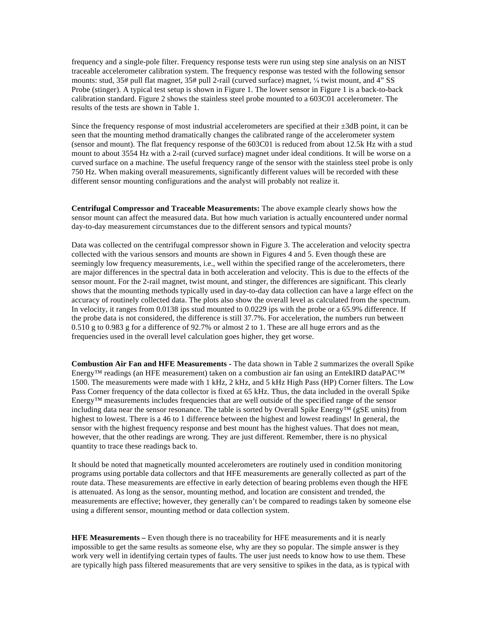frequency and a single-pole filter. Frequency response tests were run using step sine analysis on an NIST traceable accelerometer calibration system. The frequency response was tested with the following sensor mounts: stud, 35# pull flat magnet, 35# pull 2-rail (curved surface) magnet, ¼ twist mount, and 4" SS Probe (stinger). A typical test setup is shown in Figure 1. The lower sensor in Figure 1 is a back-to-back calibration standard. Figure 2 shows the stainless steel probe mounted to a 603C01 accelerometer. The results of the tests are shown in Table 1.

Since the frequency response of most industrial accelerometers are specified at their  $\pm 3$ dB point, it can be seen that the mounting method dramatically changes the calibrated range of the accelerometer system (sensor and mount). The flat frequency response of the 603C01 is reduced from about 12.5k Hz with a stud mount to about 3554 Hz with a 2-rail (curved surface) magnet under ideal conditions. It will be worse on a curved surface on a machine. The useful frequency range of the sensor with the stainless steel probe is only 750 Hz. When making overall measurements, significantly different values will be recorded with these different sensor mounting configurations and the analyst will probably not realize it.

**Centrifugal Compressor and Traceable Measurements:** The above example clearly shows how the sensor mount can affect the measured data. But how much variation is actually encountered under normal day-to-day measurement circumstances due to the different sensors and typical mounts?

Data was collected on the centrifugal compressor shown in Figure 3. The acceleration and velocity spectra collected with the various sensors and mounts are shown in Figures 4 and 5. Even though these are seemingly low frequency measurements, i.e., well within the specified range of the accelerometers, there are major differences in the spectral data in both acceleration and velocity. This is due to the effects of the sensor mount. For the 2-rail magnet, twist mount, and stinger, the differences are significant. This clearly shows that the mounting methods typically used in day-to-day data collection can have a large effect on the accuracy of routinely collected data. The plots also show the overall level as calculated from the spectrum. In velocity, it ranges from 0.0138 ips stud mounted to 0.0229 ips with the probe or a 65.9% difference. If the probe data is not considered, the difference is still 37.7%. For acceleration, the numbers run between 0.510 g to 0.983 g for a difference of 92.7% or almost 2 to 1. These are all huge errors and as the frequencies used in the overall level calculation goes higher, they get worse.

**Combustion Air Fan and HFE Measurements -** The data shown in Table 2 summarizes the overall Spike Energy™ readings (an HFE measurement) taken on a combustion air fan using an EntekIRD dataPAC<sup>™</sup> 1500. The measurements were made with 1 kHz, 2 kHz, and 5 kHz High Pass (HP) Corner filters. The Low Pass Corner frequency of the data collector is fixed at 65 kHz. Thus, the data included in the overall Spike Energy™ measurements includes frequencies that are well outside of the specified range of the sensor including data near the sensor resonance. The table is sorted by Overall Spike Energy™ (gSE units) from highest to lowest. There is a 46 to 1 difference between the highest and lowest readings! In general, the sensor with the highest frequency response and best mount has the highest values. That does not mean, however, that the other readings are wrong. They are just different. Remember, there is no physical quantity to trace these readings back to.

It should be noted that magnetically mounted accelerometers are routinely used in condition monitoring programs using portable data collectors and that HFE measurements are generally collected as part of the route data. These measurements are effective in early detection of bearing problems even though the HFE is attenuated. As long as the sensor, mounting method, and location are consistent and trended, the measurements are effective; however, they generally can't be compared to readings taken by someone else using a different sensor, mounting method or data collection system.

**HFE Measurements –** Even though there is no traceability for HFE measurements and it is nearly impossible to get the same results as someone else, why are they so popular. The simple answer is they work very well in identifying certain types of faults. The user just needs to know how to use them. These are typically high pass filtered measurements that are very sensitive to spikes in the data, as is typical with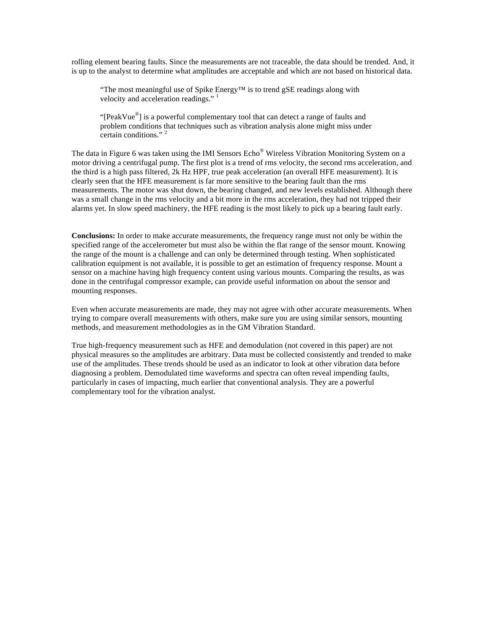rolling element bearing faults. Since the measurements are not traceable, the data should be trended. And, it is up to the analyst to determine what amplitudes are acceptable and which are not based on historical data.

"The most meaningful use of Spike Energy™ is to trend gSE readings along with velocity and acceleration readings."  $\frac{1}{1}$ 

"[PeakVue $\degree$ ] is a powerful complementary tool that can detect a range of faults and problem conditions that techniques such as vibration analysis alone might miss under certain conditions." <sup>2</sup>

The data in Figure 6 was taken using the IMI Sensors Echo<sup>®</sup> Wireless Vibration Monitoring System on a motor driving a centrifugal pump. The first plot is a trend of rms velocity, the second rms acceleration, and the third is a high pass filtered, 2k Hz HPF, true peak acceleration (an overall HFE measurement). It is clearly seen that the HFE measurement is far more sensitive to the bearing fault than the rms measurements. The motor was shut down, the bearing changed, and new levels established. Although there was a small change in the rms velocity and a bit more in the rms acceleration, they had not tripped their alarms yet. In slow speed machinery, the HFE reading is the most likely to pick up a bearing fault early.

**Conclusions:** In order to make accurate measurements, the frequency range must not only be within the specified range of the accelerometer but must also be within the flat range of the sensor mount. Knowing the range of the mount is a challenge and can only be determined through testing. When sophisticated calibration equipment is not available, it is possible to get an estimation of frequency response. Mount a sensor on a machine having high frequency content using various mounts. Comparing the results, as was done in the centrifugal compressor example, can provide useful information on about the sensor and mounting responses.

Even when accurate measurements are made, they may not agree with other accurate measurements. When trying to compare overall measurements with others, make sure you are using similar sensors, mounting methods, and measurement methodologies as in the GM Vibration Standard.

True high-frequency measurement such as HFE and demodulation (not covered in this paper) are not physical measures so the amplitudes are arbitrary. Data must be collected consistently and trended to make use of the amplitudes. These trends should be used as an indicator to look at other vibration data before diagnosing a problem. Demodulated time waveforms and spectra can often reveal impending faults, particularly in cases of impacting, much earlier that conventional analysis. They are a powerful complementary tool for the vibration analyst.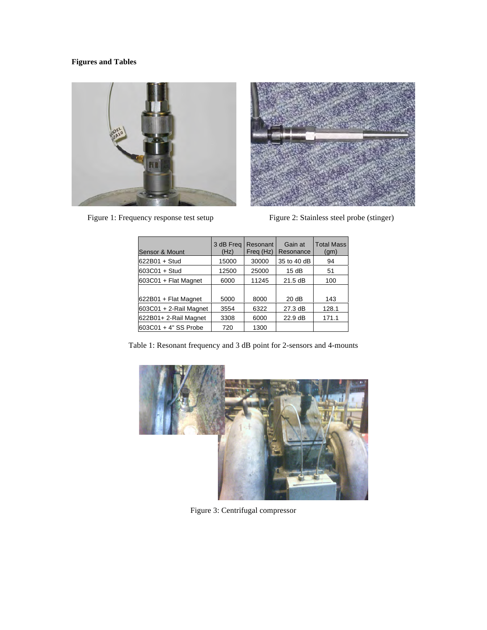# **Figures and Tables**





Figure 1: Frequency response test setup Figure 2: Stainless steel probe (stinger)

| Sensor & Mount         | 3 dB Freq<br>(Hz) | Resonant<br>Freq (Hz) | Gain at<br>Resonance | <b>Total Mass</b><br>(gm) |
|------------------------|-------------------|-----------------------|----------------------|---------------------------|
| 622B01 + Stud          | 15000             | 30000                 | 35 to 40 dB          | 94                        |
| 603C01 + Stud          | 12500             | 25000                 | 15dB                 | 51                        |
| 603C01 + Flat Magnet   | 6000              | 11245                 | 21.5 dB              | 100                       |
|                        |                   |                       |                      |                           |
| 622B01 + Flat Magnet   | 5000              | 8000                  | 20dB                 | 143                       |
| 603C01 + 2-Rail Magnet | 3554              | 6322                  | 27.3 dB              | 128.1                     |
| 622B01+ 2-Rail Magnet  | 3308              | 6000                  | 22.9 dB              | 171.1                     |
| 603C01 + 4" SS Probe   | 720               | 1300                  |                      |                           |

Table 1: Resonant frequency and 3 dB point for 2-sensors and 4-mounts



Figure 3: Centrifugal compressor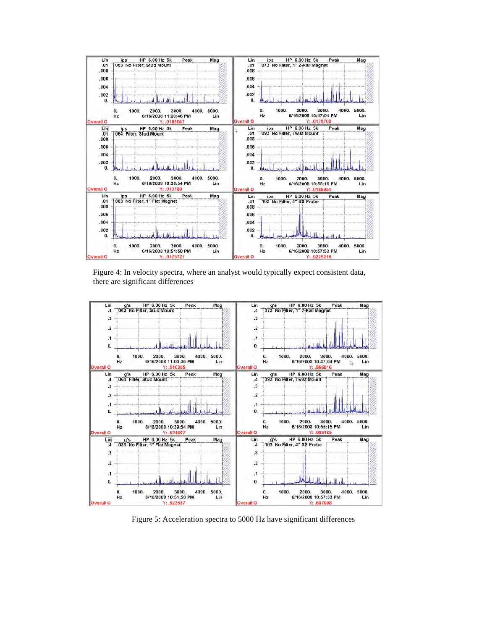

Figure 4: In velocity spectra, where an analyst would typically expect consistent data, there are significant differences



Figure 5: Acceleration spectra to 5000 Hz have significant differences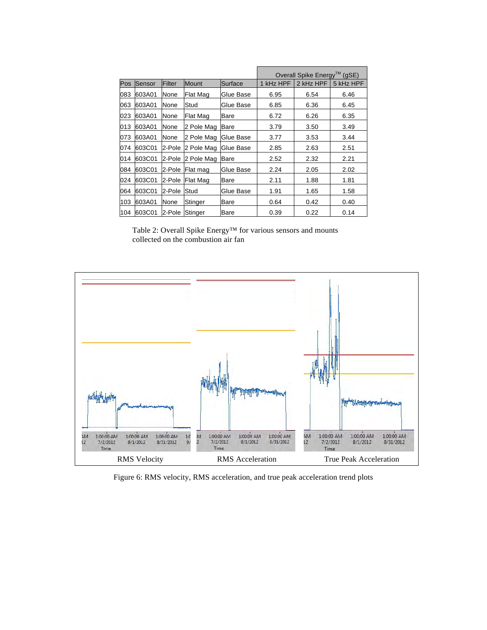|     |        |        |                 |           | Overall Spike Energy <sup>™</sup> (gSE) |           |           |
|-----|--------|--------|-----------------|-----------|-----------------------------------------|-----------|-----------|
| Pos | Sensor | Filter | <b>Mount</b>    | Surface   | 1 kHz HPF                               | 2 kHz HPF | 5 kHz HPF |
| 083 | 603A01 | None   | Flat Mag        | Glue Base | 6.95                                    | 6.54      | 6.46      |
| 063 | 603A01 | None   | Stud            | Glue Base | 6.85                                    | 6.36      | 6.45      |
| 023 | 603A01 | None   | Flat Mag        | Bare      | 6.72                                    | 6.26      | 6.35      |
| 013 | 603A01 | None   | 2 Pole Mag      | Bare      | 3.79                                    | 3.50      | 3.49      |
| 073 | 603A01 | None   | 2 Pole Mag      | Glue Base | 3.77                                    | 3.53      | 3.44      |
| 074 | 603C01 | 2-Pole | 2 Pole Mag      | Glue Base | 2.85                                    | 2.63      | 2.51      |
| 014 | 603C01 | 2-Pole | 2 Pole Mag      | Bare      | 2.52                                    | 2.32      | 2.21      |
| 084 | 603C01 | 2-Pole | Flat mag        | Glue Base | 2.24                                    | 2.05      | 2.02      |
| 024 | 603C01 | 2-Pole | <b>Flat Mag</b> | Bare      | 2.11                                    | 1.88      | 1.81      |
| 064 | 603C01 | 2-Pole | Stud            | Glue Base | 1.91                                    | 1.65      | 1.58      |
| 103 | 603A01 | None   | Stinger         | Bare      | 0.64                                    | 0.42      | 0.40      |
| 104 | 603C01 | 2-Pole | Stinger         | Bare      | 0.39                                    | 0.22      | 0.14      |

Table 2: Overall Spike Energy™ for various sensors and mounts collected on the combustion air fan



Figure 6: RMS velocity, RMS acceleration, and true peak acceleration trend plots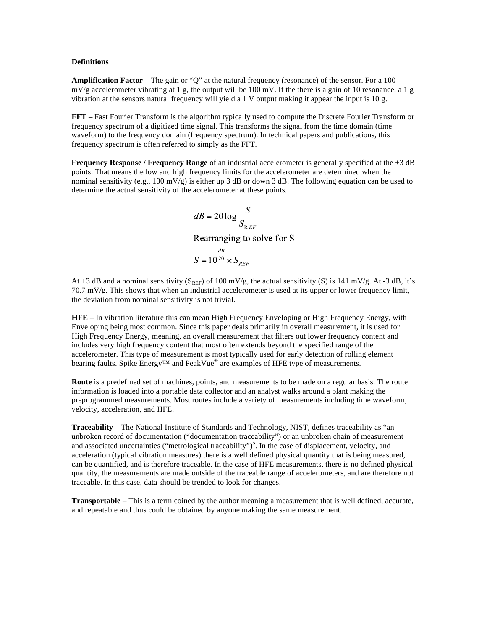#### **Definitions**

**Amplification Factor** – The gain or "Q" at the natural frequency (resonance) of the sensor. For a 100  $mV/g$  accelerometer vibrating at 1 g, the output will be 100 mV. If the there is a gain of 10 resonance, a 1 g vibration at the sensors natural frequency will yield a 1 V output making it appear the input is 10 g.

**FFT** – Fast Fourier Transform is the algorithm typically used to compute the Discrete Fourier Transform or frequency spectrum of a digitized time signal. This transforms the signal from the time domain (time waveform) to the frequency domain (frequency spectrum). In technical papers and publications, this frequency spectrum is often referred to simply as the FFT.

**Frequency Response / Frequency Range** of an industrial accelerometer is generally specified at the  $\pm 3$  dB points. That means the low and high frequency limits for the accelerometer are determined when the nominal sensitivity (e.g., 100 mV/g) is either up 3 dB or down 3 dB. The following equation can be used to determine the actual sensitivity of the accelerometer at these points.

$$
dB = 20 \log \frac{S}{S_{REF}}
$$
  
Rearranging to solve for  

$$
S = 10^{\frac{dB}{20}} \times S_{REF}
$$

S

At +3 dB and a nominal sensitivity  $(S_{REF}$  of 100 mV/g, the actual sensitivity (S) is 141 mV/g. At -3 dB, it's 70.7 mV/g. This shows that when an industrial accelerometer is used at its upper or lower frequency limit, the deviation from nominal sensitivity is not trivial.

**HFE** – In vibration literature this can mean High Frequency Enveloping or High Frequency Energy, with Enveloping being most common. Since this paper deals primarily in overall measurement, it is used for High Frequency Energy, meaning, an overall measurement that filters out lower frequency content and includes very high frequency content that most often extends beyond the specified range of the accelerometer. This type of measurement is most typically used for early detection of rolling element bearing faults. Spike Energy<sup>™</sup> and PeakVue<sup>®</sup> are examples of HFE type of measurements.

**Route** is a predefined set of machines, points, and measurements to be made on a regular basis. The route information is loaded into a portable data collector and an analyst walks around a plant making the preprogrammed measurements. Most routes include a variety of measurements including time waveform, velocity, acceleration, and HFE.

**Traceability** – The National Institute of Standards and Technology, NIST, defines traceability as "an unbroken record of documentation ("documentation traceability") or an unbroken chain of measurement and associated uncertainties ("metrological traceability")<sup>5</sup>. In the case of displacement, velocity, and acceleration (typical vibration measures) there is a well defined physical quantity that is being measured, can be quantified, and is therefore traceable. In the case of HFE measurements, there is no defined physical quantity, the measurements are made outside of the traceable range of accelerometers, and are therefore not traceable. In this case, data should be trended to look for changes.

**Transportable** – This is a term coined by the author meaning a measurement that is well defined, accurate, and repeatable and thus could be obtained by anyone making the same measurement.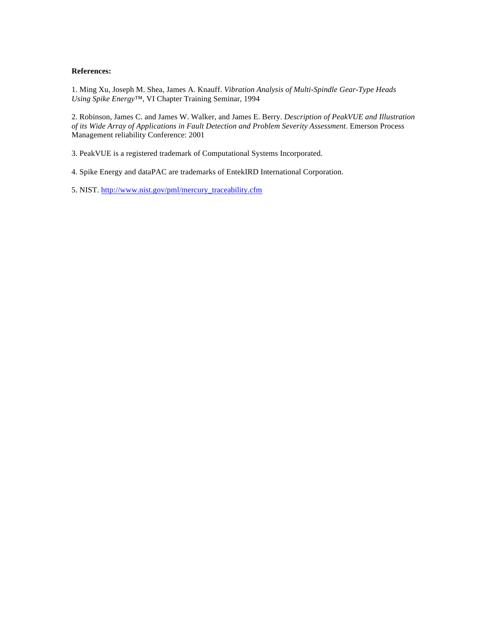### **References:**

1. Ming Xu, Joseph M. Shea, James A. Knauff. *Vibration Analysis of Multi-Spindle Gear-Type Heads Using Spike Energy™,* VI Chapter Training Seminar, 1994

2. Robinson, James C. and James W. Walker, and James E. Berry. *Description of PeakVUE and Illustration of its Wide Array of Applications in Fault Detection and Problem Severity Assessment*. Emerson Process Management reliability Conference: 2001

3. PeakVUE is a registered trademark of Computational Systems Incorporated.

4. Spike Energy and dataPAC are trademarks of EntekIRD International Corporation.

5. NIST. http://www.nist.gov/pml/mercury\_traceability.cfm